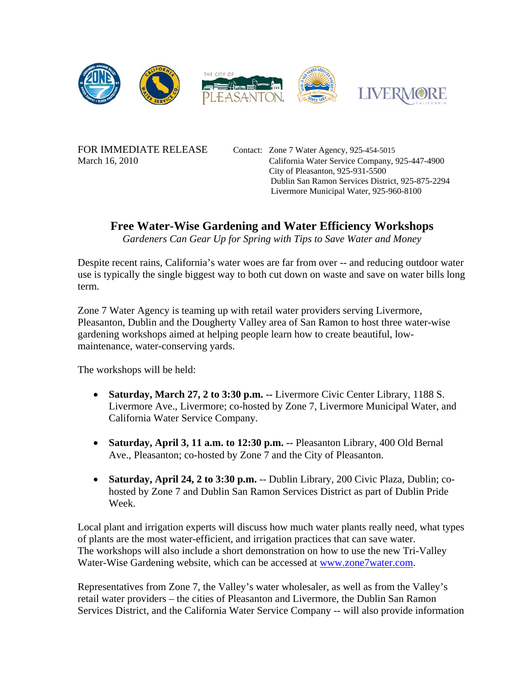

FOR IMMEDIATE RELEASE Contact: Zone 7 Water Agency, 925-454-5015 March 16, 2010 California Water Service Company, 925-447-4900 City of Pleasanton, 925-931-5500 Dublin San Ramon Services District, 925-875-2294 Livermore Municipal Water, 925-960-8100

## **Free Water-Wise Gardening and Water Efficiency Workshops**

*Gardeners Can Gear Up for Spring with Tips to Save Water and Money* 

Despite recent rains, California's water woes are far from over -- and reducing outdoor water use is typically the single biggest way to both cut down on waste and save on water bills long term.

Zone 7 Water Agency is teaming up with retail water providers serving Livermore, Pleasanton, Dublin and the Dougherty Valley area of San Ramon to host three water-wise gardening workshops aimed at helping people learn how to create beautiful, lowmaintenance, water-conserving yards.

The workshops will be held:

- **Saturday, March 27, 2 to 3:30 p.m. --** Livermore Civic Center Library, 1188 S. Livermore Ave., Livermore; co-hosted by Zone 7, Livermore Municipal Water, and California Water Service Company.
- **Saturday, April 3, 11 a.m. to 12:30 p.m. --** Pleasanton Library, 400 Old Bernal Ave., Pleasanton; co-hosted by Zone 7 and the City of Pleasanton.
- **Saturday, April 24, 2 to 3:30 p.m.** -- Dublin Library, 200 Civic Plaza, Dublin; cohosted by Zone 7 and Dublin San Ramon Services District as part of Dublin Pride Week.

Local plant and irrigation experts will discuss how much water plants really need, what types of plants are the most water-efficient, and irrigation practices that can save water. The workshops will also include a short demonstration on how to use the new Tri-Valley Water-Wise Gardening website, which can be accessed at www.zone7water.com.

Representatives from Zone 7, the Valley's water wholesaler, as well as from the Valley's retail water providers – the cities of Pleasanton and Livermore, the Dublin San Ramon Services District, and the California Water Service Company -- will also provide information